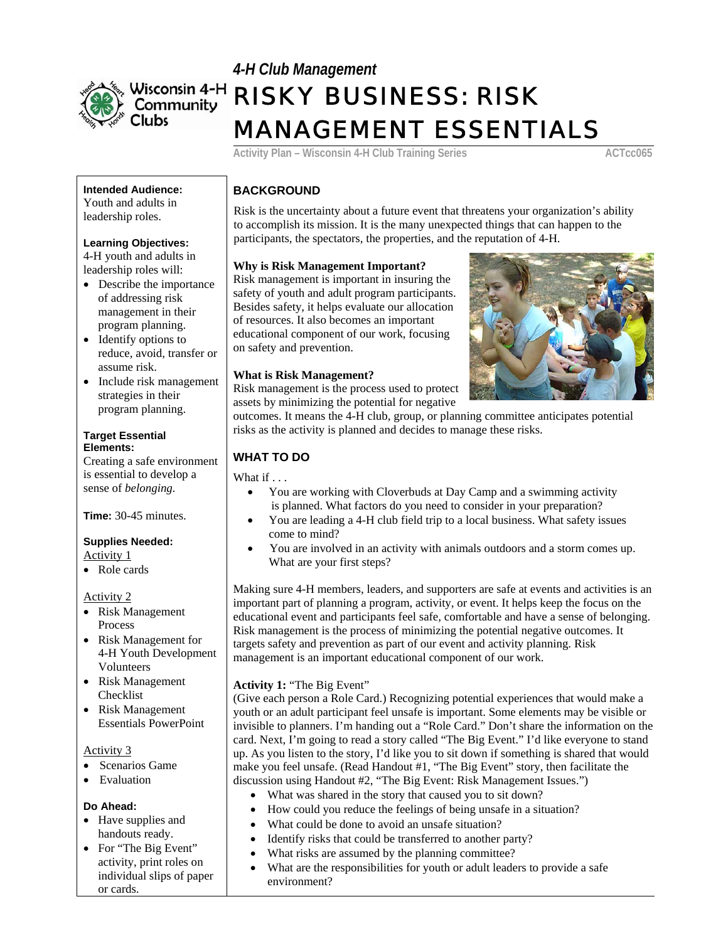

# *4-H Club Management*  RISKY BUSINESS: RISK MANAGEMENT ESSENTIALS

Activity Plan – Wisconsin 4-H Club Training Series **ACTcc065** 

## **Intended Audience: BACKGROUND**  Youth and adults in

4-H youth and adults in

- of addressing risk management in their program planning.
- reduce, avoid, transfer or assume risk.
- strategies in their program planning.

# **Elements:**

Creating a safe environment **WHAT TO DO** is essential to develop a sense of *belonging.*

• Role cards

#### Activity 2

- Risk Management Process
- Risk Management for 4-H Youth Development Volunteers
- Risk Management Risk Management<br>Checklist **Activity 1:** "The Big Event"<br>Cive each person a Role Car
- Risk Management Essentials PowerPoint

Activity 3

- Scenarios Game
- Evaluation

- 
- activity, print roles on individual slips of paper or cards.

roun and addits in<br>leadership roles. Risk is the uncertainty about a future event that threatens your organization's ability to accomplish its mission. It is the many unexpected things that can happen to the **Learning Objectives:**  $\boxed{\text{participants, the spectator, the properties, and the reputation of 4-H.}$ 

### leadership roles will: **Why is Risk Management Important?**

• Describe the importance Risk management is important in insuring the safety of youth and adult program participants. Besides safety, it helps evaluate our allocation of resources. It also becomes an important • Identify options to ducational component of our work, focusing on safety and prevention.

# • Include risk management **What is Risk Management?**

Risk management is the process used to protect assets by minimizing the potential for negative



outcomes. It means the 4-H club, group, or planning committee anticipates potential risks as the activity is planned and decides to manage these risks. **Target Essential** 

What if . . .

- You are working with Cloverbuds at Day Camp and a swimming activity **Time:** 30-45 minutes. • **i** is planned. What factors do you need to consider in your preparation? • You are leading a 4-H club field trip to a local business. What safety issues
	-
- **Supplies Needed:**<br>
 You are involved in an activity with animals outdoors and a storm comes up.<br>  $\begin{array}{ccc}\n\bullet & \text{You are involved in an activity with animals outdoors and a storm comes up.} \\
\bullet & \text{You are involved in an activity with animals outdoors and a storm comes up.}\n\end{array}$ What are your first steps?

Making sure 4-H members, leaders, and supporters are safe at events and activities is an important part of planning a program, activity, or event. It helps keep the focus on the educational event and participants feel safe, comfortable and have a sense of belonging. Risk management is the process of minimizing the potential negative outcomes. It targets safety and prevention as part of our event and activity planning. Risk management is an important educational component of our work.

(Give each person a Role Card.) Recognizing potential experiences that would make a youth or an adult participant feel unsafe is important. Some elements may be visible or invisible to planners. I'm handing out a "Role Card." Don't share the information on the card. Next, I'm going to read a story called "The Big Event." I'd like everyone to stand up. As you listen to the story, I'd like you to sit down if something is shared that would make you feel unsafe. (Read Handout #1, "The Big Event" story, then facilitate the discussion using Handout #2, "The Big Event: Risk Management Issues.")

- What was shared in the story that caused you to sit down?
- **Do Ahead:** How could you reduce the feelings of being unsafe in a situation?<br>• Have supplies and **•** What could be done to avoid an unsafe situation?
	- Have supplies and<br>handouts ready.
- Identify risks that could be transferred to another party?<br>• For "The Big Event" What risks are assumed by the planning committee?
	- What risks are assumed by the planning committee?
	- What are the responsibilities for youth or adult leaders to provide a safe environment?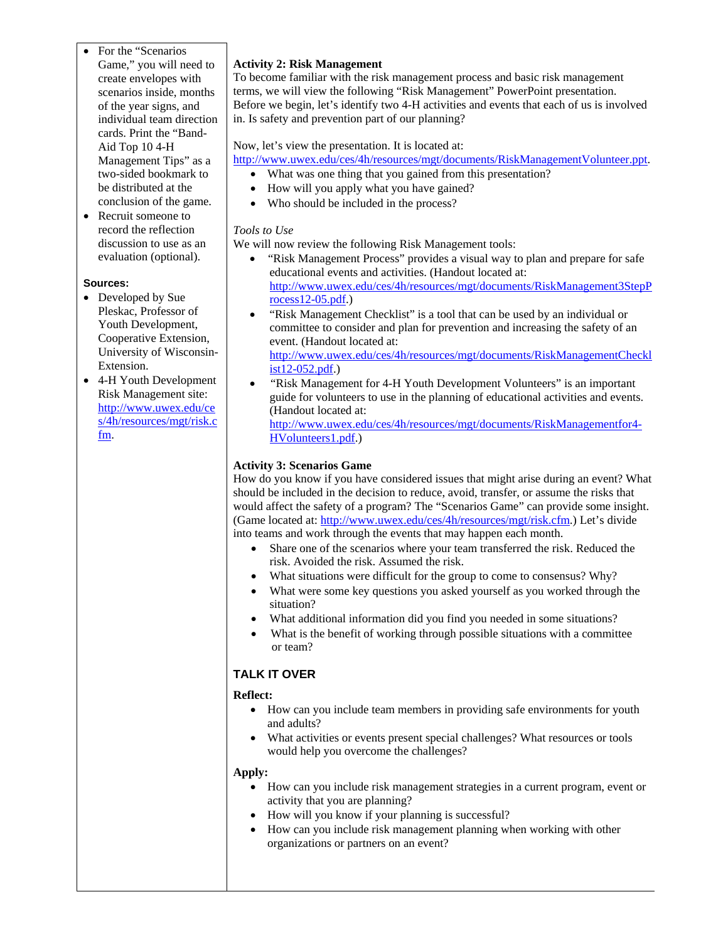- For the "Scenarios Game," you will need to create envelopes with scenarios inside, months of the year signs, and individual team direction cards. Print the "Band-Aid Top 10 4-H Management Tips" as a two-sided bookmark to be distributed at the conclusion of the game.
- Recruit someone to record the reflection discussion to use as an evaluation (optional).

#### **Sources:**

- Developed by Sue Pleskac, Professor of Youth Development, Cooperative Extension, University of Wisconsin-Extension.
- 4-H Youth Development Risk Management site: [http://www.uwex.edu/ce](http://www.uwex.edu/ces/4h/resources/mgt/risk.cfm) [s/4h/resources/mgt/risk.c](http://www.uwex.edu/ces/4h/resources/mgt/risk.cfm) [fm.](http://www.uwex.edu/ces/4h/resources/mgt/risk.cfm)

#### **Activity 2: Risk Management**

To become familiar with the risk management process and basic risk management terms, we will view the following "Risk Management" PowerPoint presentation. Before we begin, let's identify two 4-H activities and events that each of us is involved in. Is safety and prevention part of our planning?

#### Now, let's view the presentation. It is located at:

[http://www.uwex.edu/ces/4h/resources/mgt/documents/RiskManagementVolunteer.ppt.](http://www.uwex.edu/ces/4h/resources/mgt/documents/RiskManagementVolunteer.ppt)

- What was one thing that you gained from this presentation?
- How will you apply what you have gained?
- Who should be included in the process?

#### *Tools to Use*

We will now review the following Risk Management tools:

- "Risk Management Process" provides a visual way to plan and prepare for safe educational events and activities. (Handout located at: [http://www.uwex.edu/ces/4h/resources/mgt/documents/RiskManagement3StepP](http://www.uwex.edu/ces/4h/resources/mgt/documents/RiskManagement3StepProcess12-05.pdf) [rocess12-05.pdf.](http://www.uwex.edu/ces/4h/resources/mgt/documents/RiskManagement3StepProcess12-05.pdf))
- "Risk Management Checklist" is a tool that can be used by an individual or committee to consider and plan for prevention and increasing the safety of an event. (Handout located at: [http://www.uwex.edu/ces/4h/resources/mgt/documents/RiskManagementCheckl](http://www.uwex.edu/ces/4h/resources/mgt/documents/RiskManagementChecklist12-052.pdf)
- [ist12-052.pdf](http://www.uwex.edu/ces/4h/resources/mgt/documents/RiskManagementChecklist12-052.pdf).) • "Risk Management for 4-H Youth Development Volunteers" is an important
- guide for volunteers to use in the planning of educational activities and events. (Handout located at:

[http://www.uwex.edu/ces/4h/resources/mgt/documents/RiskManagementfor4-](http://www.uwex.edu/ces/4h/resources/mgt/documents/RiskManagementfor4-HVolunteers1.pdf) [HVolunteers1.pdf.](http://www.uwex.edu/ces/4h/resources/mgt/documents/RiskManagementfor4-HVolunteers1.pdf))

#### **Activity 3: Scenarios Game**

How do you know if you have considered issues that might arise during an event? What should be included in the decision to reduce, avoid, transfer, or assume the risks that would affect the safety of a program? The "Scenarios Game" can provide some insight. (Game located at: [http://www.uwex.edu/ces/4h/resources/mgt/risk.cfm.](http://www.uwex.edu/ces/4h/resources/mgt/risk.cfm)) Let's divide into teams and work through the events that may happen each month.

- Share one of the scenarios where your team transferred the risk. Reduced the risk. Avoided the risk. Assumed the risk.
- What situations were difficult for the group to come to consensus? Why?
- What were some key questions you asked yourself as you worked through the situation?
- What additional information did you find you needed in some situations?
- What is the benefit of working through possible situations with a committee or team?

#### **TALK IT OVER**

#### **Reflect:**

- How can you include team members in providing safe environments for youth and adults?
- What activities or events present special challenges? What resources or tools would help you overcome the challenges?

#### **Apply:**

- How can you include risk management strategies in a current program, event or activity that you are planning?
- How will you know if your planning is successful?
- How can you include risk management planning when working with other organizations or partners on an event?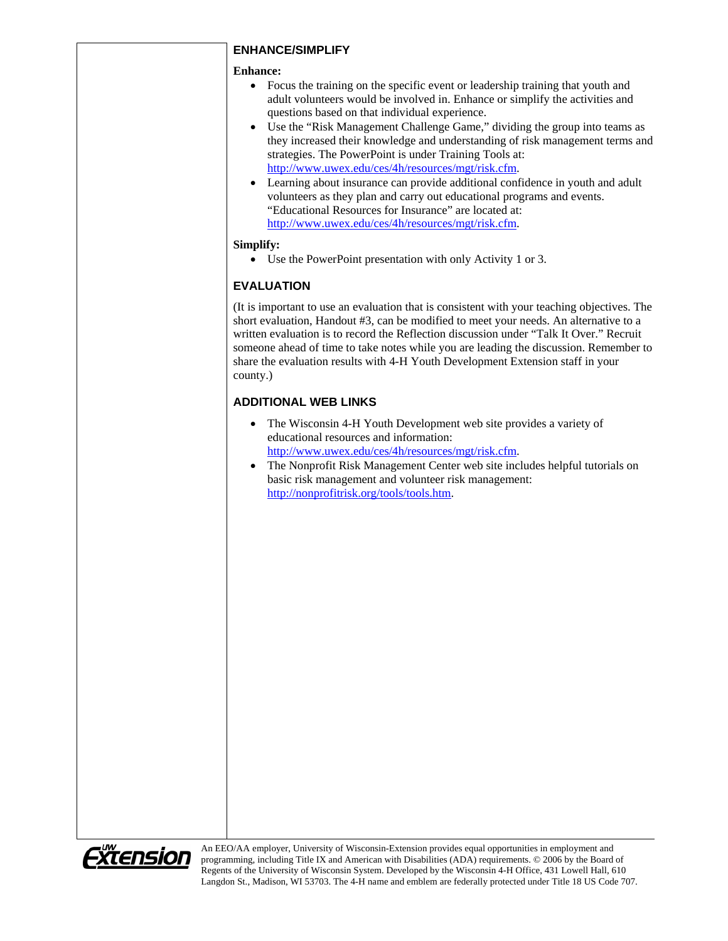#### **ENHANCE/SIMPLIFY**

#### **Enhance:**

- Focus the training on the specific event or leadership training that youth and adult volunteers would be involved in. Enhance or simplify the activities and questions based on that individual experience.
- Use the "Risk Management Challenge Game," dividing the group into teams as they increased their knowledge and understanding of risk management terms and strategies. The PowerPoint is under Training Tools at: [http://www.uwex.edu/ces/4h/resources/mgt/risk.cfm.](http://www.uwex.edu/ces/4h/resources/mgt/risk.cfm)
- Learning about insurance can provide additional confidence in youth and adult volunteers as they plan and carry out educational programs and events. "Educational Resources for Insurance" are located at: [http://www.uwex.edu/ces/4h/resources/mgt/risk.cfm.](http://www.uwex.edu/ces/4h/resources/mgt/risk.cfm)

#### **Simplify:**

• Use the PowerPoint presentation with only Activity 1 or 3.

### **EVALUATION**

(It is important to use an evaluation that is consistent with your teaching objectives. The short evaluation, Handout #3, can be modified to meet your needs. An alternative to a written evaluation is to record the Reflection discussion under "Talk It Over." Recruit someone ahead of time to take notes while you are leading the discussion. Remember to share the evaluation results with 4-H Youth Development Extension staff in your county.)

### **ADDITIONAL WEB LINKS**

- The Wisconsin 4-H Youth Development web site provides a variety of educational resources and information: [http://www.uwex.edu/ces/4h/resources/mgt/risk.cfm.](http://www.uwex.edu/ces/4h/resources/mgt/risk.cfm)
- The Nonprofit Risk Management Center web site includes helpful tutorials on basic risk management and volunteer risk management: <http://nonprofitrisk.org/tools/tools.htm>.



An EEO/AA employer, University of Wisconsin-Extension provides equal opportunities in employment and programming, including Title IX and American with Disabilities (ADA) requirements. © 2006 by the Board of Regents of the University of Wisconsin System. Developed by the Wisconsin 4-H Office, 431 Lowell Hall, 610 Langdon St., Madison, WI 53703. The 4-H name and emblem are federally protected under Title 18 US Code 707.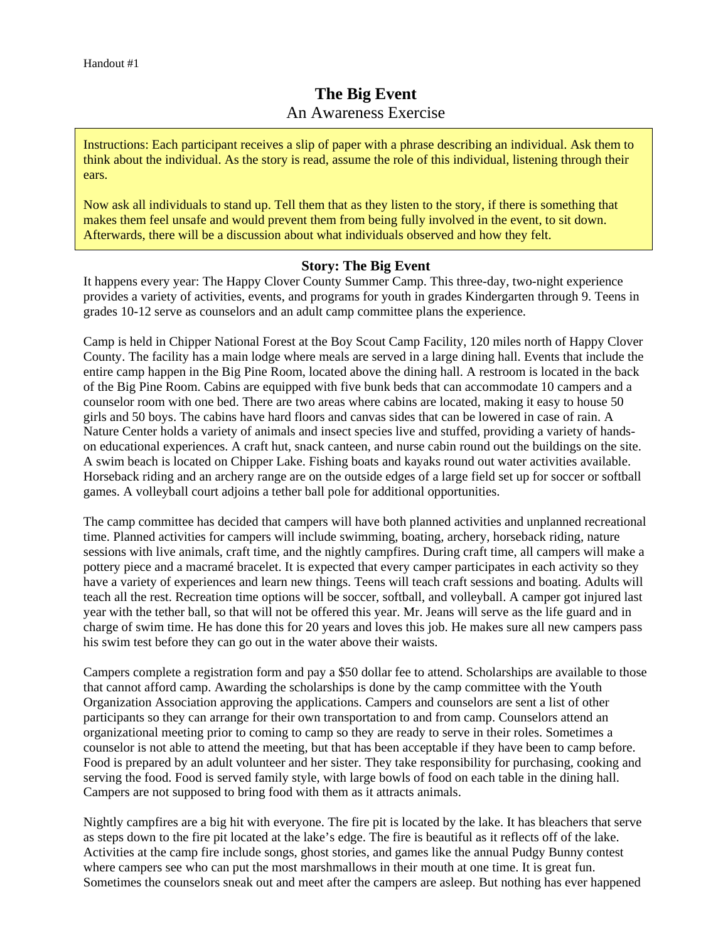# **The Big Event**  An Awareness Exercise

Instructions: Each participant receives a slip of paper with a phrase describing an individual. Ask them to think about the individual. As the story is read, assume the role of this individual, listening through their ears.

Now ask all individuals to stand up. Tell them that as they listen to the story, if there is something that makes them feel unsafe and would prevent them from being fully involved in the event, to sit down. Afterwards, there will be a discussion about what individuals observed and how they felt.

### **Story: The Big Event**

It happens every year: The Happy Clover County Summer Camp. This three-day, two-night experience provides a variety of activities, events, and programs for youth in grades Kindergarten through 9. Teens in grades 10-12 serve as counselors and an adult camp committee plans the experience.

Camp is held in Chipper National Forest at the Boy Scout Camp Facility, 120 miles north of Happy Clover County. The facility has a main lodge where meals are served in a large dining hall. Events that include the entire camp happen in the Big Pine Room, located above the dining hall. A restroom is located in the back of the Big Pine Room. Cabins are equipped with five bunk beds that can accommodate 10 campers and a counselor room with one bed. There are two areas where cabins are located, making it easy to house 50 girls and 50 boys. The cabins have hard floors and canvas sides that can be lowered in case of rain. A Nature Center holds a variety of animals and insect species live and stuffed, providing a variety of handson educational experiences. A craft hut, snack canteen, and nurse cabin round out the buildings on the site. A swim beach is located on Chipper Lake. Fishing boats and kayaks round out water activities available. Horseback riding and an archery range are on the outside edges of a large field set up for soccer or softball games. A volleyball court adjoins a tether ball pole for additional opportunities.

The camp committee has decided that campers will have both planned activities and unplanned recreational time. Planned activities for campers will include swimming, boating, archery, horseback riding, nature sessions with live animals, craft time, and the nightly campfires. During craft time, all campers will make a pottery piece and a macramé bracelet. It is expected that every camper participates in each activity so they have a variety of experiences and learn new things. Teens will teach craft sessions and boating. Adults will teach all the rest. Recreation time options will be soccer, softball, and volleyball. A camper got injured last year with the tether ball, so that will not be offered this year. Mr. Jeans will serve as the life guard and in charge of swim time. He has done this for 20 years and loves this job. He makes sure all new campers pass his swim test before they can go out in the water above their waists.

Campers complete a registration form and pay a \$50 dollar fee to attend. Scholarships are available to those that cannot afford camp. Awarding the scholarships is done by the camp committee with the Youth Organization Association approving the applications. Campers and counselors are sent a list of other participants so they can arrange for their own transportation to and from camp. Counselors attend an organizational meeting prior to coming to camp so they are ready to serve in their roles. Sometimes a counselor is not able to attend the meeting, but that has been acceptable if they have been to camp before. Food is prepared by an adult volunteer and her sister. They take responsibility for purchasing, cooking and serving the food. Food is served family style, with large bowls of food on each table in the dining hall. Campers are not supposed to bring food with them as it attracts animals.

Nightly campfires are a big hit with everyone. The fire pit is located by the lake. It has bleachers that serve as steps down to the fire pit located at the lake's edge. The fire is beautiful as it reflects off of the lake. Activities at the camp fire include songs, ghost stories, and games like the annual Pudgy Bunny contest where campers see who can put the most marshmallows in their mouth at one time. It is great fun. Sometimes the counselors sneak out and meet after the campers are asleep. But nothing has ever happened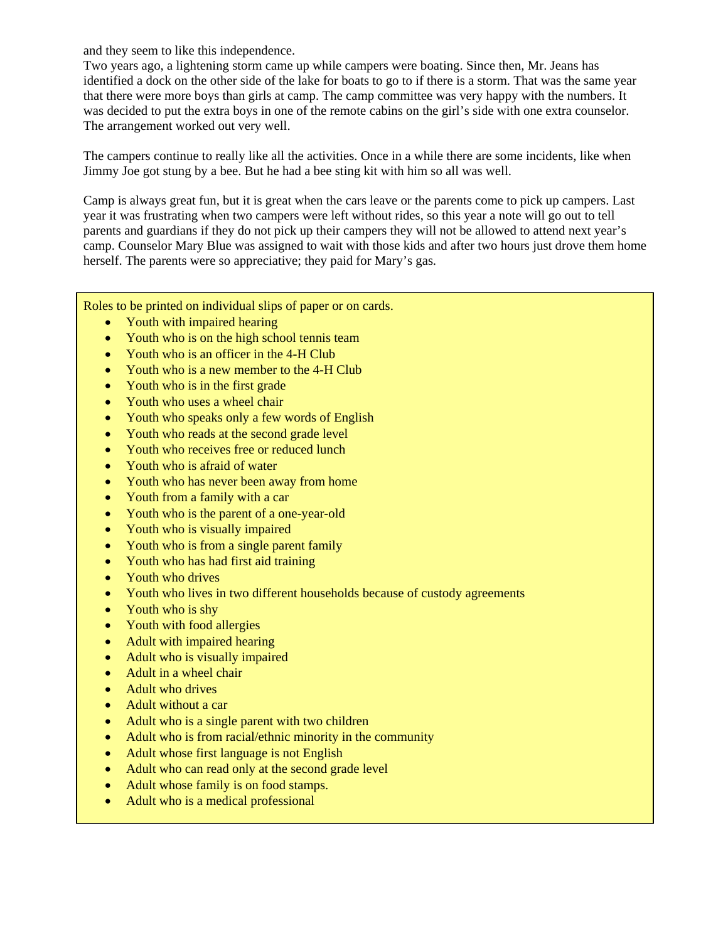and they seem to like this independence.

Two years ago, a lightening storm came up while campers were boating. Since then, Mr. Jeans has identified a dock on the other side of the lake for boats to go to if there is a storm. That was the same year that there were more boys than girls at camp. The camp committee was very happy with the numbers. It was decided to put the extra boys in one of the remote cabins on the girl's side with one extra counselor. The arrangement worked out very well.

The campers continue to really like all the activities. Once in a while there are some incidents, like when Jimmy Joe got stung by a bee. But he had a bee sting kit with him so all was well.

Camp is always great fun, but it is great when the cars leave or the parents come to pick up campers. Last year it was frustrating when two campers were left without rides, so this year a note will go out to tell parents and guardians if they do not pick up their campers they will not be allowed to attend next year's camp. Counselor Mary Blue was assigned to wait with those kids and after two hours just drove them home herself. The parents were so appreciative; they paid for Mary's gas.

Roles to be printed on individual slips of paper or on cards.

- Youth with impaired hearing
- Youth who is on the high school tennis team
- Youth who is an officer in the 4-H Club
- Youth who is a new member to the 4-H Club
- Youth who is in the first grade
- Youth who uses a wheel chair
- Youth who speaks only a few words of English
- Youth who reads at the second grade level
- Youth who receives free or reduced lunch
- Youth who is afraid of water
- Youth who has never been away from home
- Youth from a family with a car
- Youth who is the parent of a one-year-old
- Youth who is visually impaired
- Youth who is from a single parent family
- Youth who has had first aid training
- Youth who drives
- Youth who lives in two different households because of custody agreements
- Youth who is shy
- Youth with food allergies
- Adult with impaired hearing
- Adult who is visually impaired
- Adult in a wheel chair
- Adult who drives
- Adult without a car
- Adult who is a single parent with two children
- Adult who is from racial/ethnic minority in the community
- Adult whose first language is not English
- Adult who can read only at the second grade level
- Adult whose family is on food stamps.
- Adult who is a medical professional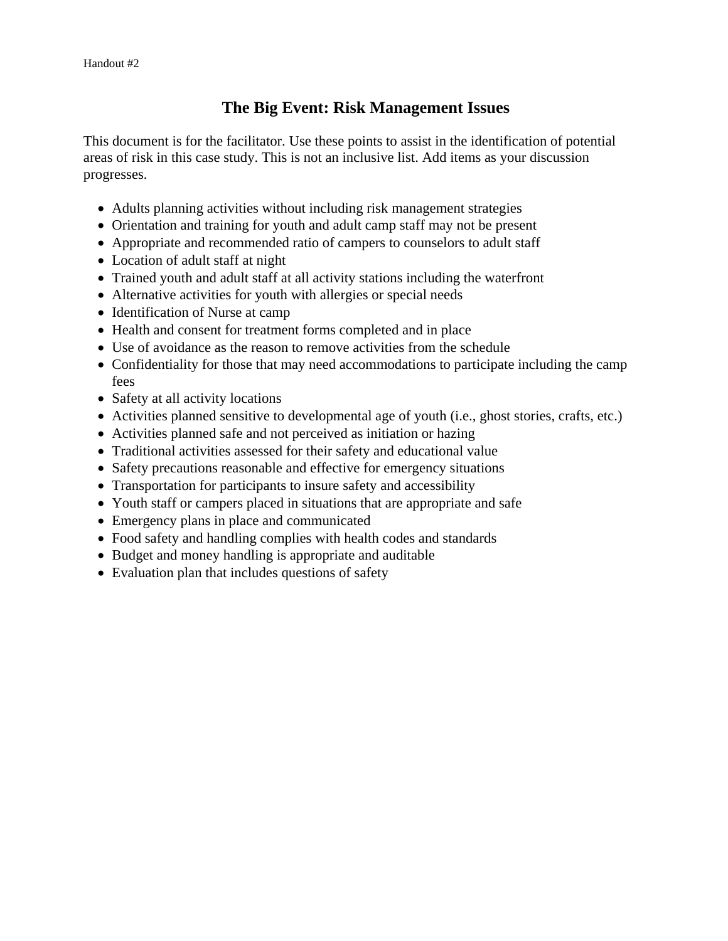## **The Big Event: Risk Management Issues**

This document is for the facilitator. Use these points to assist in the identification of potential areas of risk in this case study. This is not an inclusive list. Add items as your discussion progresses.

- Adults planning activities without including risk management strategies
- Orientation and training for youth and adult camp staff may not be present
- Appropriate and recommended ratio of campers to counselors to adult staff
- Location of adult staff at night
- Trained youth and adult staff at all activity stations including the waterfront
- Alternative activities for youth with allergies or special needs
- Identification of Nurse at camp
- Health and consent for treatment forms completed and in place
- Use of avoidance as the reason to remove activities from the schedule
- Confidentiality for those that may need accommodations to participate including the camp fees
- Safety at all activity locations
- Activities planned sensitive to developmental age of youth (i.e., ghost stories, crafts, etc.)
- Activities planned safe and not perceived as initiation or hazing
- Traditional activities assessed for their safety and educational value
- Safety precautions reasonable and effective for emergency situations
- Transportation for participants to insure safety and accessibility
- Youth staff or campers placed in situations that are appropriate and safe
- Emergency plans in place and communicated
- Food safety and handling complies with health codes and standards
- Budget and money handling is appropriate and auditable
- Evaluation plan that includes questions of safety